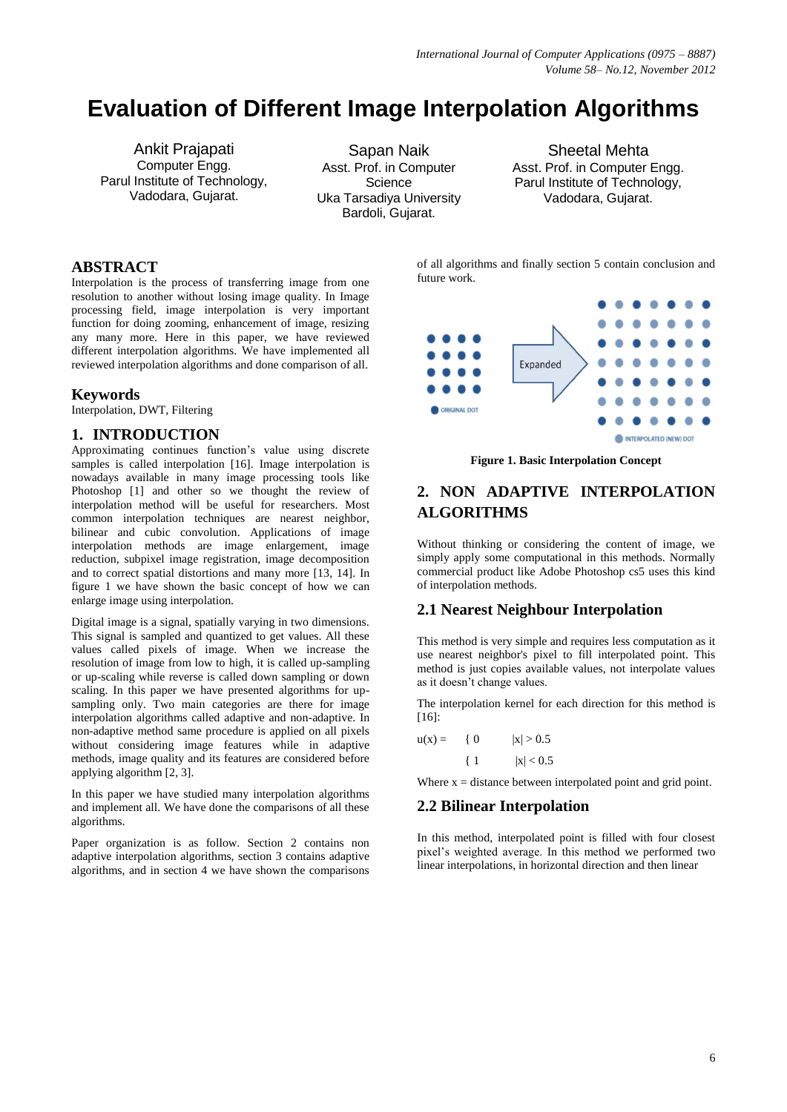# **Evaluation of Different Image Interpolation Algorithms**

Ankit Prajapati Computer Engg. Parul Institute of Technology, Vadodara, Gujarat.

Sapan Naik Asst. Prof. in Computer **Science** Uka Tarsadiya University Bardoli, Gujarat.

Sheetal Mehta Asst. Prof. in Computer Engg. Parul Institute of Technology, Vadodara, Gujarat.

### **ABSTRACT**

Interpolation is the process of transferring image from one resolution to another without losing image quality. In Image processing field, image interpolation is very important function for doing zooming, enhancement of image, resizing any many more. Here in this paper, we have reviewed different interpolation algorithms. We have implemented all reviewed interpolation algorithms and done comparison of all.

### **Keywords**

Interpolation, DWT, Filtering

### **1. INTRODUCTION**

Approximating continues function's value using discrete samples is called interpolation [16]. Image interpolation is nowadays available in many image processing tools like Photoshop [1] and other so we thought the review of interpolation method will be useful for researchers. Most common interpolation techniques are nearest neighbor, bilinear and cubic convolution. Applications of image interpolation methods are image enlargement, image reduction, subpixel image registration, image decomposition and to correct spatial distortions and many more [13, 14]. In figure 1 we have shown the basic concept of how we can enlarge image using interpolation.

Digital image is a signal, spatially varying in two dimensions. This signal is sampled and quantized to get values. All these values called pixels of image. When we increase the resolution of image from low to high, it is called up-sampling or up-scaling while reverse is called down sampling or down scaling. In this paper we have presented algorithms for upsampling only. Two main categories are there for image interpolation algorithms called adaptive and non-adaptive. In non-adaptive method same procedure is applied on all pixels without considering image features while in adaptive methods, image quality and its features are considered before applying algorithm [2, 3].

In this paper we have studied many interpolation algorithms and implement all. We have done the comparisons of all these algorithms.

Paper organization is as follow. Section 2 contains non adaptive interpolation algorithms, section 3 contains adaptive algorithms, and in section 4 we have shown the comparisons of all algorithms and finally section 5 contain conclusion and future work.



**Figure 1. Basic Interpolation Concept**

# **2. NON ADAPTIVE INTERPOLATION ALGORITHMS**

Without thinking or considering the content of image, we simply apply some computational in this methods. Normally commercial product like Adobe Photoshop cs5 uses this kind of interpolation methods.

## **2.1 Nearest Neighbour Interpolation**

This method is very simple and requires less computation as it use nearest neighbor's pixel to fill interpolated point. This method is just copies available values, not interpolate values as it doesn't change values.

The interpolation kernel for each direction for this method is [16]:

| $u(x) =$ | { 0   | x  > 0.5 |
|----------|-------|----------|
|          | $\{1$ | x  < 0.5 |

Where  $x =$  distance between interpolated point and grid point.

## **2.2 Bilinear Interpolation**

In this method, interpolated point is filled with four closest pixel's weighted average. In this method we performed two linear interpolations, in horizontal direction and then linear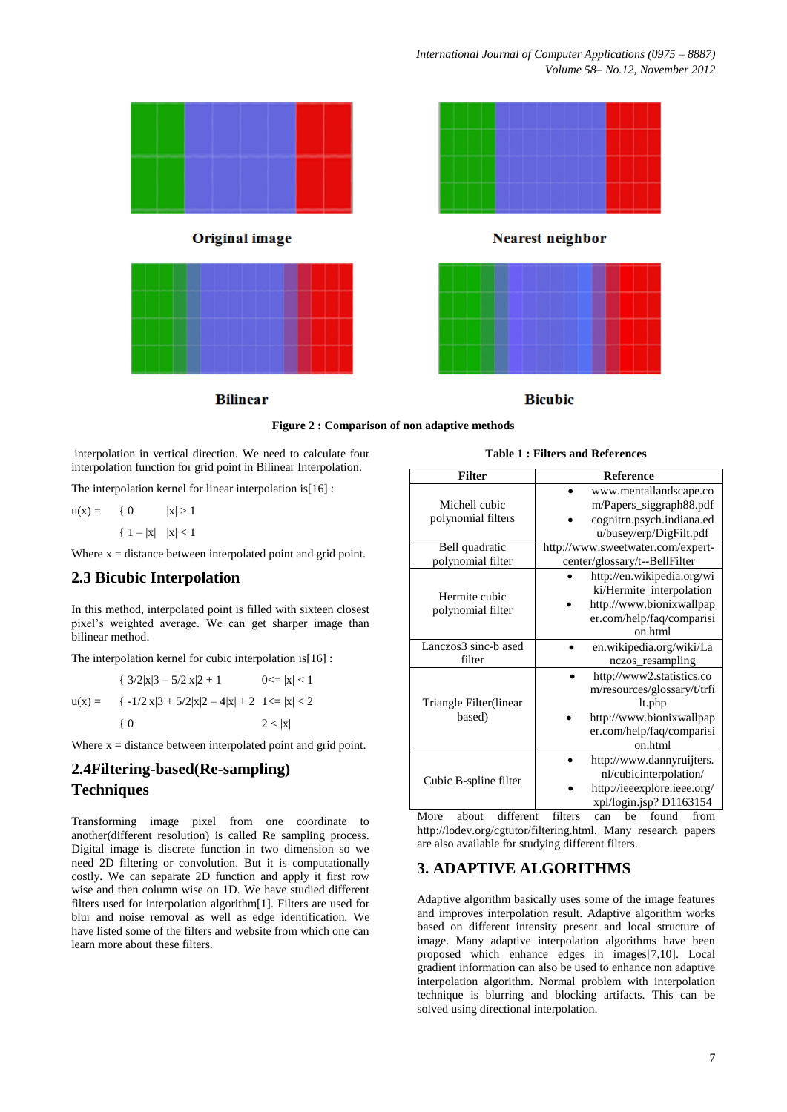

#### **Figure 2 : Comparison of non adaptive methods**

interpolation in vertical direction. We need to calculate four interpolation function for grid point in Bilinear Interpolation.

The interpolation kernel for linear interpolation is[16] :

 $u(x) = \{ 0 \quad |x| > 1$  $\{ 1 - |x| \ |x| < 1$ 

Where  $x = distance$  between interpolated point and grid point.

## **2.3 Bicubic Interpolation**

In this method, interpolated point is filled with sixteen closest pixel's weighted average. We can get sharper image than bilinear method.

The interpolation kernel for cubic interpolation is[16] :

 $\{3/2|x|3-5/2|x|2+1$  0  $\lt=|x|<1$  $u(x) = \{ -1/2|x|3 + 5/2|x|2 - 4|x| + 2 \} 1 \le |x| < 2$ { 0  $2 < |x|$ 

Where  $x = distance$  between interpolated point and grid point.

# **2.4Filtering-based(Re-sampling) Techniques**

Transforming image pixel from one coordinate to another(different resolution) is called Re sampling process. Digital image is discrete function in two dimension so we need 2D filtering or convolution. But it is computationally costly. We can separate 2D function and apply it first row wise and then column wise on 1D. We have studied different filters used for interpolation algorithm[1]. Filters are used for blur and noise removal as well as edge identification. We have listed some of the filters and website from which one can learn more about these filters.

| <b>Table 1: Filters and References</b> |  |
|----------------------------------------|--|
|----------------------------------------|--|

| <b>Filter</b>          | <b>Reference</b>                  |  |  |  |
|------------------------|-----------------------------------|--|--|--|
|                        | www.mentallandscape.co            |  |  |  |
| Michell cubic          | m/Papers_siggraph88.pdf           |  |  |  |
| polynomial filters     | cognitrn.psych.indiana.ed         |  |  |  |
|                        | u/busey/erp/DigFilt.pdf           |  |  |  |
| Bell quadratic         | http://www.sweetwater.com/expert- |  |  |  |
| polynomial filter      | center/glossary/t--BellFilter     |  |  |  |
|                        | http://en.wikipedia.org/wi        |  |  |  |
| Hermite cubic          | ki/Hermite_interpolation          |  |  |  |
|                        | http://www.bionixwallpap          |  |  |  |
| polynomial filter      | er.com/help/faq/comparisi         |  |  |  |
|                        | on html                           |  |  |  |
| Lanczos3 sinc-b ased   | en.wikipedia.org/wiki/La          |  |  |  |
| filter                 | nczos_resampling                  |  |  |  |
|                        | http://www2.statistics.co         |  |  |  |
|                        | m/resources/glossary/t/trfi       |  |  |  |
| Triangle Filter(linear | lt.php                            |  |  |  |
| based)                 | http://www.bionixwallpap          |  |  |  |
|                        | er.com/help/faq/comparisi         |  |  |  |
|                        | on.html                           |  |  |  |
|                        | http://www.dannyruijters.         |  |  |  |
|                        | nl/cubicinterpolation/            |  |  |  |
| Cubic B-spline filter  | http://ieeexplore.ieee.org/       |  |  |  |
|                        | xpl/login.jsp? D1163154           |  |  |  |

More about different filters can be found from [http://lodev.org/cgtutor/filtering.html.](http://lodev.org/cgtutor/filtering.html) Many research papers are also available for studying different filters.

# **3. ADAPTIVE ALGORITHMS**

Adaptive algorithm basically uses some of the image features and improves interpolation result. Adaptive algorithm works based on different intensity present and local structure of image. Many adaptive interpolation algorithms have been proposed which enhance edges in images[7,10]. Local gradient information can also be used to enhance non adaptive interpolation algorithm. Normal problem with interpolation technique is blurring and blocking artifacts. This can be solved using directional interpolation.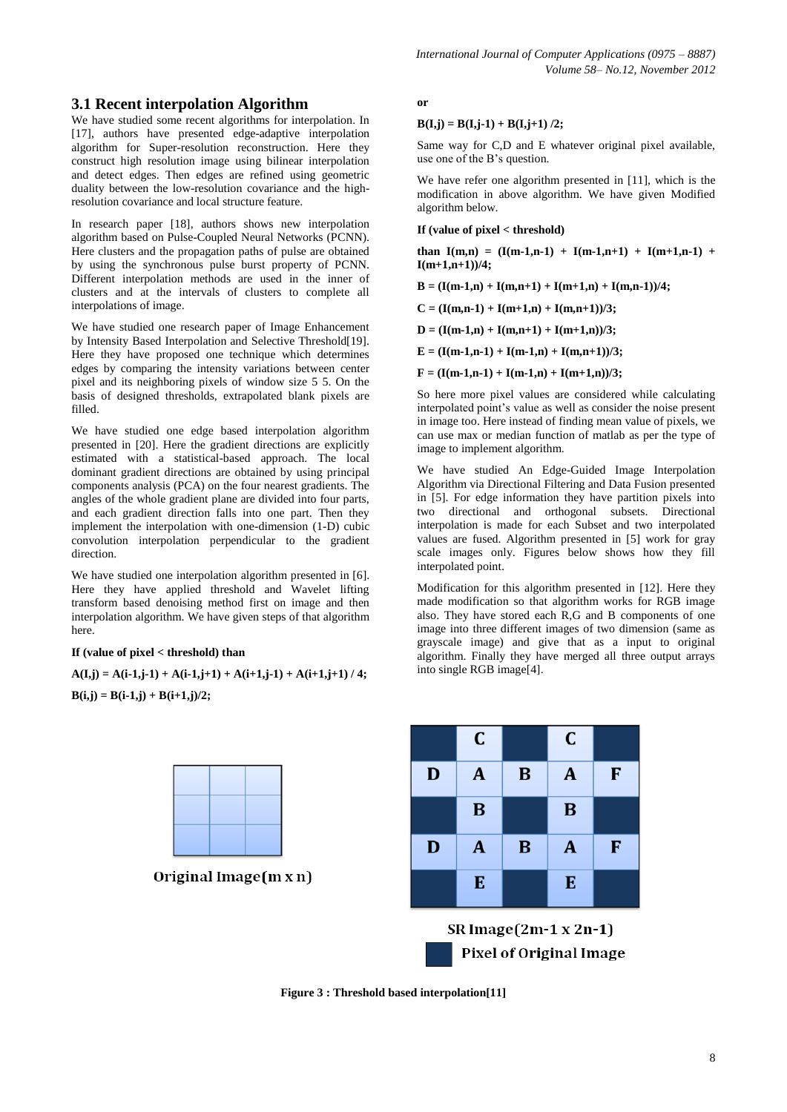## **3.1 Recent interpolation Algorithm**

We have studied some recent algorithms for interpolation. In [17], authors have presented edge-adaptive interpolation algorithm for Super-resolution reconstruction. Here they construct high resolution image using bilinear interpolation and detect edges. Then edges are refined using geometric duality between the low-resolution covariance and the highresolution covariance and local structure feature.

In research paper [18], authors shows new interpolation algorithm based on Pulse-Coupled Neural Networks (PCNN). Here clusters and the propagation paths of pulse are obtained by using the synchronous pulse burst property of PCNN. Different interpolation methods are used in the inner of clusters and at the intervals of clusters to complete all interpolations of image.

We have studied one research paper of Image Enhancement by Intensity Based Interpolation and Selective Threshold[19]. Here they have proposed one technique which determines edges by comparing the intensity variations between center pixel and its neighboring pixels of window size 5 5. On the basis of designed thresholds, extrapolated blank pixels are filled.

We have studied one edge based interpolation algorithm presented in [20]. Here the gradient directions are explicitly estimated with a statistical-based approach. The local dominant gradient directions are obtained by using principal components analysis (PCA) on the four nearest gradients. The angles of the whole gradient plane are divided into four parts, and each gradient direction falls into one part. Then they implement the interpolation with one-dimension (1-D) cubic convolution interpolation perpendicular to the gradient direction.

We have studied one interpolation algorithm presented in [6]. Here they have applied threshold and Wavelet lifting transform based denoising method first on image and then interpolation algorithm. We have given steps of that algorithm here.

#### **If (value of pixel < threshold) than**

 $A(I,j) = A(i-1,j-1) + A(i-1,j+1) + A(i+1,j-1) + A(i+1,j+1) / 4;$  $B(i,j) = B(i-1,j) + B(i+1,j)/2;$ 



Original Image $(m x n)$ 

**or** 

#### $B(I,j) = B(I,j-1) + B(I,j+1)/2;$

Same way for C,D and E whatever original pixel available, use one of the B's question.

We have refer one algorithm presented in [11], which is the modification in above algorithm. We have given Modified algorithm below.

#### **If (value of pixel < threshold)**

**than**  $I(m,n) = (I(m-1,n-1) + I(m-1,n+1) + I(m+1,n-1) + I(m-1,n-1)$ **I(m+1,n+1))/4;** 

 $B = (I(m-1,n) + I(m,n+1) + I(m+1,n) + I(m,n-1))/4;$ 

 $C = (I(m,n-1) + I(m+1,n) + I(m,n+1))/3;$ 

 $D = (I(m-1,n) + I(m,n+1) + I(m+1,n))/3;$ 

 $E = (I(m-1,n-1) + I(m-1,n) + I(m,n+1))/3;$ 

 $F = (I(m-1,n-1) + I(m-1,n) + I(m+1,n))/3;$ 

So here more pixel values are considered while calculating interpolated point's value as well as consider the noise present in image too. Here instead of finding mean value of pixels, we can use max or median function of matlab as per the type of image to implement algorithm.

We have studied An Edge-Guided Image Interpolation Algorithm via Directional Filtering and Data Fusion presented in [5]. For edge information they have partition pixels into two directional and orthogonal subsets. Directional interpolation is made for each Subset and two interpolated values are fused. Algorithm presented in [5] work for gray scale images only. Figures below shows how they fill interpolated point.

Modification for this algorithm presented in [12]. Here they made modification so that algorithm works for RGB image also. They have stored each R,G and B components of one image into three different images of two dimension (same as grayscale image) and give that as a input to original algorithm. Finally they have merged all three output arrays into single RGB image[4].



**Figure 3 : Threshold based interpolation[11]**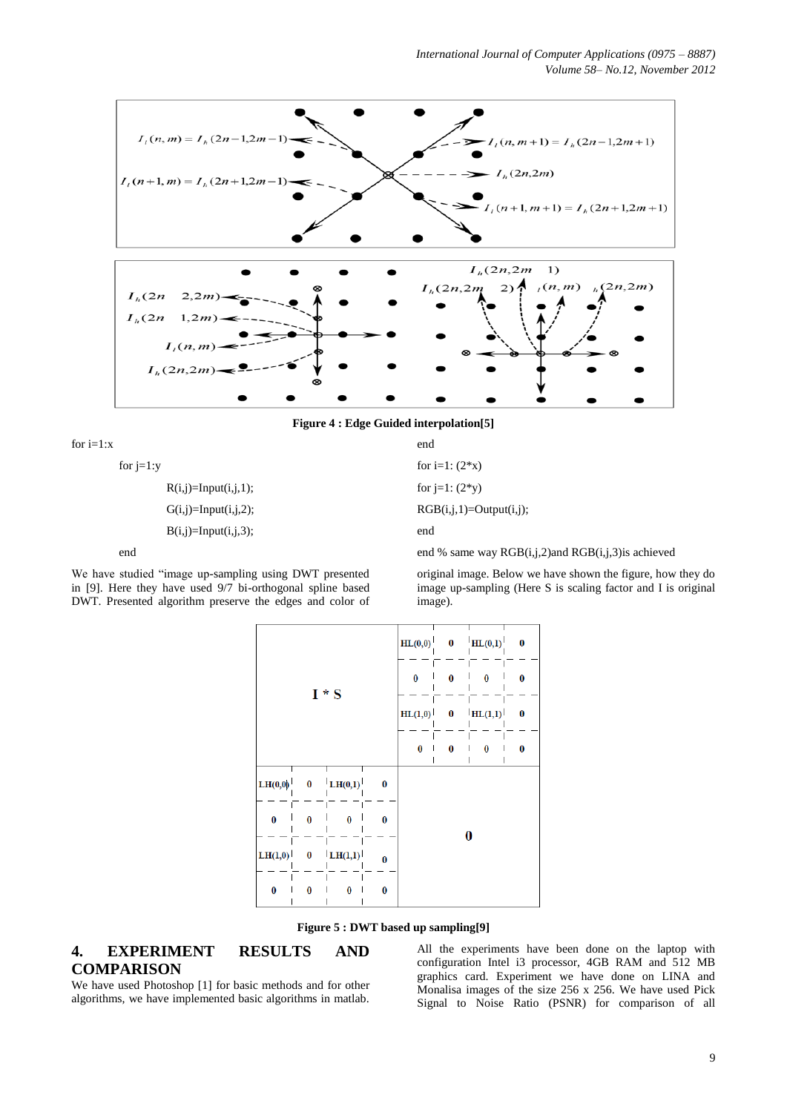

**Figure 4 : Edge Guided interpolation[5]**

| for $i=1:x$            | end                       |
|------------------------|---------------------------|
| for $i=1:y$            | for $i=1$ : $(2*x)$       |
| $R(i,j)=Input(i,j,1);$ | for $i=1$ : $(2*y)$       |
| $G(i,j)=Input(i,j,2);$ | $RGB(i,j,1)=Output(i,j);$ |
| $B(i,j)=Input(i,j,3);$ | end                       |
|                        |                           |

end

We have studied "image up-sampling using DWT presented in [9]. Here they have used 9/7 bi-orthogonal spline based DWT. Presented algorithm preserve the edges and color of end % same way RGB(i,j,2)and RGB(i,j,3)is achieved

original image. Below we have shown the figure, how they do image up-sampling (Here S is scaling factor and I is original image).

| $I * S$  |          | HL(0,0)        |              | $0$ $\text{HL}(0,1)$ | $\bf{0}$ |  |  |
|----------|----------|----------------|--------------|----------------------|----------|--|--|
|          |          | $\bf{0}$       | 0            | $\bf{0}$             | 0        |  |  |
|          |          | HL(1,0)        | $\mathbf{0}$ | HL(1,1)              | $\bf{0}$ |  |  |
|          |          | $\bf{0}$       | 0            | $\bf{0}$             | 0        |  |  |
| LH(0,0)  |          | $0$ LH $(0,1)$ | $\bf{0}$     |                      |          |  |  |
| $\bf{0}$ | $\bf{0}$ | $\bf{0}$       | $\bf{0}$     | 0                    |          |  |  |
| LH(1,0)  | 0        | LH(1,1)        | $\bf{0}$     |                      |          |  |  |
| $\bf{0}$ | $\bf{0}$ | 0              | $\bf{0}$     |                      |          |  |  |



# **4. EXPERIMENT RESULTS AND COMPARISON**

All the experiments have been done on the laptop with configuration Intel i3 processor, 4GB RAM and 512 MB graphics card. Experiment we have done on LINA and Monalisa images of the size 256 x 256. We have used Pick Signal to Noise Ratio (PSNR) for comparison of all

We have used Photoshop [1] for basic methods and for other algorithms, we have implemented basic algorithms in matlab.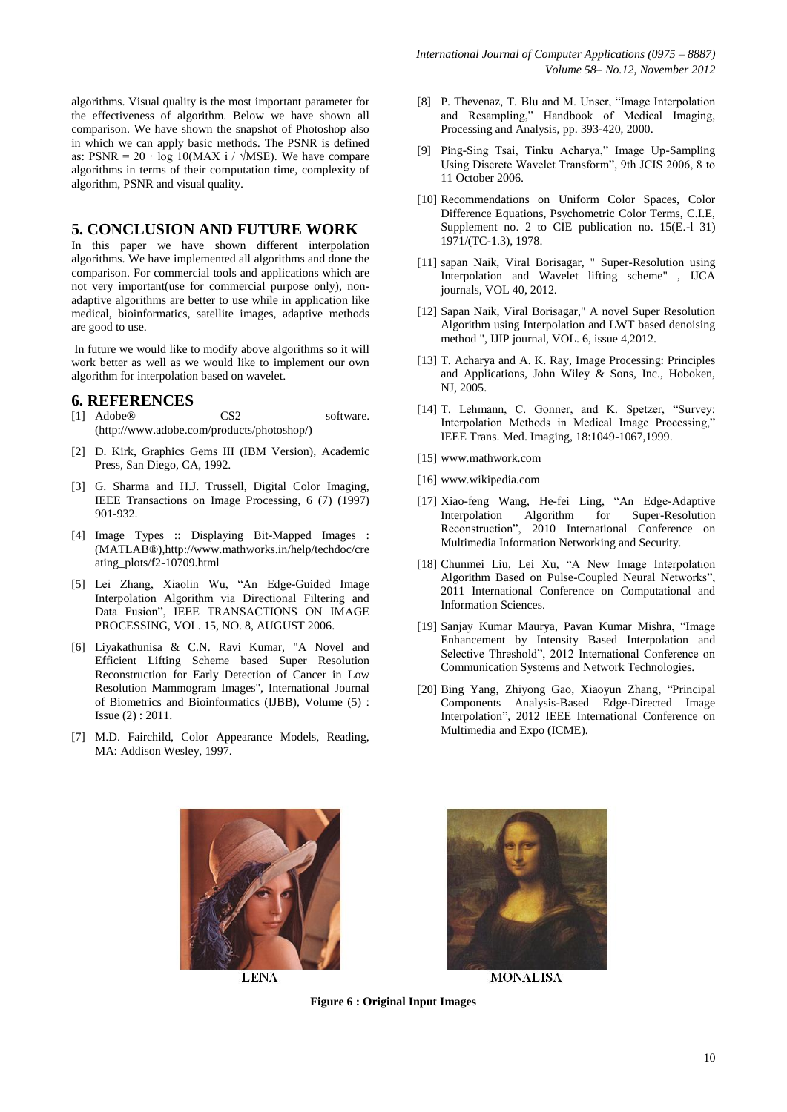algorithms. Visual quality is the most important parameter for the effectiveness of algorithm. Below we have shown all comparison. We have shown the snapshot of Photoshop also in which we can apply basic methods. The PSNR is defined as:  $PSNR = 20 \cdot \log 10(MAX i / \sqrt{MSE})$ . We have compare algorithms in terms of their computation time, complexity of algorithm, PSNR and visual quality.

### **5. CONCLUSION AND FUTURE WORK**

In this paper we have shown different interpolation algorithms. We have implemented all algorithms and done the comparison. For commercial tools and applications which are not very important(use for commercial purpose only), nonadaptive algorithms are better to use while in application like medical, bioinformatics, satellite images, adaptive methods are good to use.

In future we would like to modify above algorithms so it will work better as well as we would like to implement our own algorithm for interpolation based on wavelet.

### **6. REFERENCES**

- [1] Adobe® CS2 software. (http://www.adobe.com/products/photoshop/)
- [2] D. Kirk, Graphics Gems III (IBM Version), Academic Press, San Diego, CA, 1992.
- [3] G. Sharma and H.J. Trussell, Digital Color Imaging, IEEE Transactions on Image Processing, 6 (7) (1997) 901-932.
- [\[4\] Image Types :: Displaying Bit-Mapped Images :](DESKTOP/SR%20n%20BOOK%20n%20CODE/my%20new%20paper/Image%20Types%20::%20Displaying%20Bit-Mapped%20Images%20(MATLAB®))  [\(MATLAB®\),](DESKTOP/SR%20n%20BOOK%20n%20CODE/my%20new%20paper/Image%20Types%20::%20Displaying%20Bit-Mapped%20Images%20(MATLAB®))[http://www.mathworks.in/help/techdoc/cre](http://www.mathworks.in/help/techdoc/creating_plots/f2-10709.html) [ating\\_plots/f2-10709.html](http://www.mathworks.in/help/techdoc/creating_plots/f2-10709.html)
- [5] Lei Zhang, Xiaolin Wu, "An Edge-Guided Image Interpolation Algorithm via Directional Filtering and Data Fusion", IEEE TRANSACTIONS ON IMAGE PROCESSING, VOL. 15, NO. 8, AUGUST 2006.
- [6] Liyakathunisa & C.N. Ravi Kumar, "A Novel and Efficient Lifting Scheme based Super Resolution Reconstruction for Early Detection of Cancer in Low Resolution Mammogram Images", International Journal of Biometrics and Bioinformatics (IJBB), Volume (5) : Issue (2) : 2011.
- [7] M.D. Fairchild, Color Appearance Models, Reading, MA: Addison Wesley, 1997.
- [8] P. Thevenaz, T. Blu and M. Unser, "Image Interpolation and Resampling," Handbook of Medical Imaging, Processing and Analysis, pp. 393-420, 2000.
- [9] Ping-Sing Tsai, Tinku Acharya," Image Up-Sampling Using Discrete Wavelet Transform", 9th JCIS 2006, 8 to 11 October 2006.
- [10] Recommendations on Uniform Color Spaces, Color Difference Equations, Psychometric Color Terms, C.I.E, Supplement no. 2 to CIE publication no. 15(E.-1 31) 1971/(TC-1.3), 1978.
- [11] sapan Naik, Viral Borisagar, " Super-Resolution using Interpolation and Wavelet lifting scheme" , IJCA journals, VOL 40, 2012.
- [12] Sapan Naik, Viral Borisagar," A novel Super Resolution Algorithm using Interpolation and LWT based denoising method ", IJIP journal, VOL. 6, issue 4,2012.
- [13] T. Acharya and A. K. Ray, Image Processing: Principles and Applications, John Wiley & Sons, Inc., Hoboken, NJ, 2005.
- [14] T. Lehmann, C. Gonner, and K. Spetzer, "Survey: Interpolation Methods in Medical Image Processing," IEEE Trans. Med. Imaging, 18:1049-1067,1999.
- [15] www.mathwork.com
- [16] [www.wikipedia.com](http://www.wikipedia.com/)
- [17] [Xiao-feng Wang,](http://www.computer.org/search/results?action=authorsearch&resultsPerPage=50&queryOption1=DC_CREATOR&sortOrder=descending&queryText1=Xiao-feng%20Wang) [He-fei Ling,](http://www.computer.org/search/results?action=authorsearch&resultsPerPage=50&queryOption1=DC_CREATOR&sortOrder=descending&queryText1=He-fei%20Ling) "An Edge-Adaptive Interpolation Algorithm for Super-Resolution Reconstruction", 2010 International Conference on Multimedia Information Networking and Security.
- [18] [Chunmei Liu,](http://www.computer.org/search/results?action=authorsearch&resultsPerPage=50&queryOption1=DC_CREATOR&sortOrder=descending&queryText1=Chunmei%20Liu) [Lei Xu,](http://www.computer.org/search/results?action=authorsearch&resultsPerPage=50&queryOption1=DC_CREATOR&sortOrder=descending&queryText1=Lei%20Xu) "A New Image Interpolation Algorithm Based on Pulse-Coupled Neural Networks" 2011 International Conference on Computational and Information Sciences.
- [19] [Sanjay Kumar Maurya,](http://www.computer.org/search/results?action=authorsearch&resultsPerPage=50&queryOption1=DC_CREATOR&sortOrder=descending&queryText1=Sanjay%20Kumar%20Maurya) [Pavan Kumar Mishra,](http://www.computer.org/search/results?action=authorsearch&resultsPerPage=50&queryOption1=DC_CREATOR&sortOrder=descending&queryText1=Pavan%20Kumar%20Mishra) "Image Enhancement by Intensity Based Interpolation and Selective Threshold", 2012 International Conference on Communication Systems and Network Technologies.
- [20] [Bing Yang,](http://www.computer.org/search/results?action=authorsearch&resultsPerPage=50&queryOption1=DC_CREATOR&sortOrder=descending&queryText1=Bing%20Yang) [Zhiyong Gao,](http://www.computer.org/search/results?action=authorsearch&resultsPerPage=50&queryOption1=DC_CREATOR&sortOrder=descending&queryText1=Zhiyong%20Gao) [Xiaoyun Zhang,](http://www.computer.org/search/results?action=authorsearch&resultsPerPage=50&queryOption1=DC_CREATOR&sortOrder=descending&queryText1=Xiaoyun%20Zhang) "Principal Components Analysis-Based Edge-Directed Image Interpolation", 2012 IEEE International Conference on Multimedia and Expo (ICME).



**LENA** 



**MONALISA** 

**Figure 6 : Original Input Images**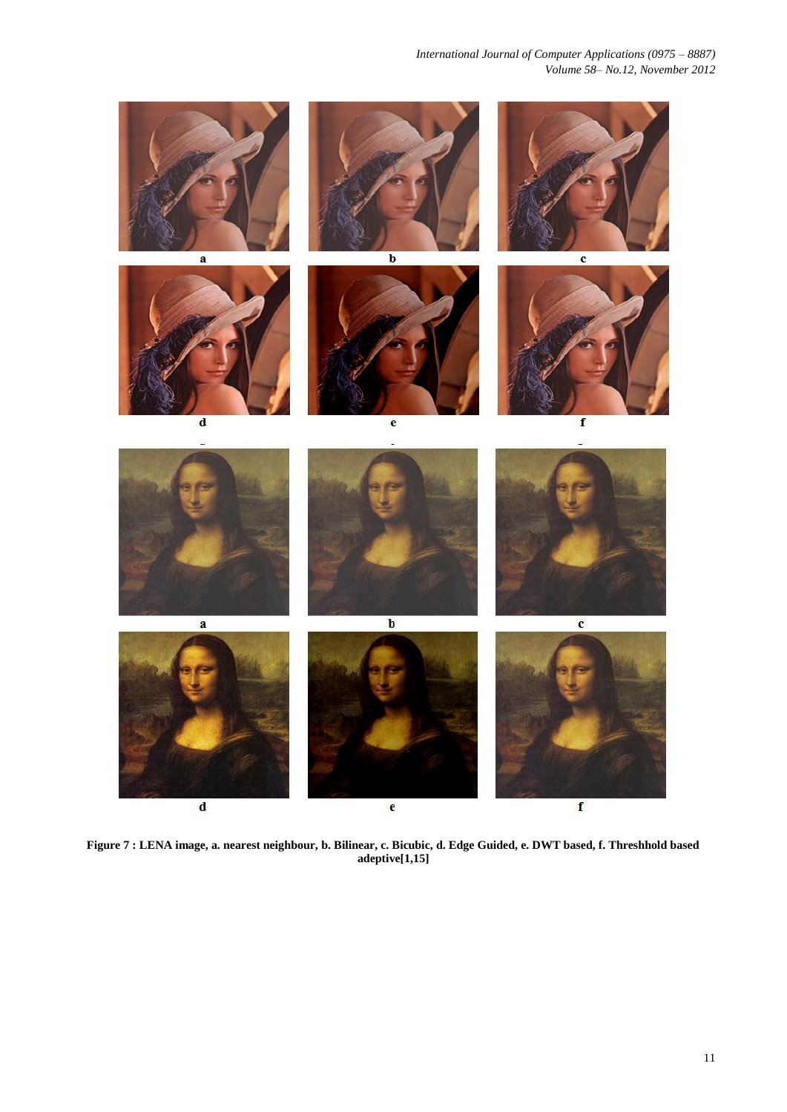*International Journal of Computer Applications (0975 – 8887) Volume 58– No.12, November 2012*



**Figure 7 : LENA image, a. nearest neighbour, b. Bilinear, c. Bicubic, d. Edge Guided, e. DWT based, f. Threshhold based adeptive[1,15]**